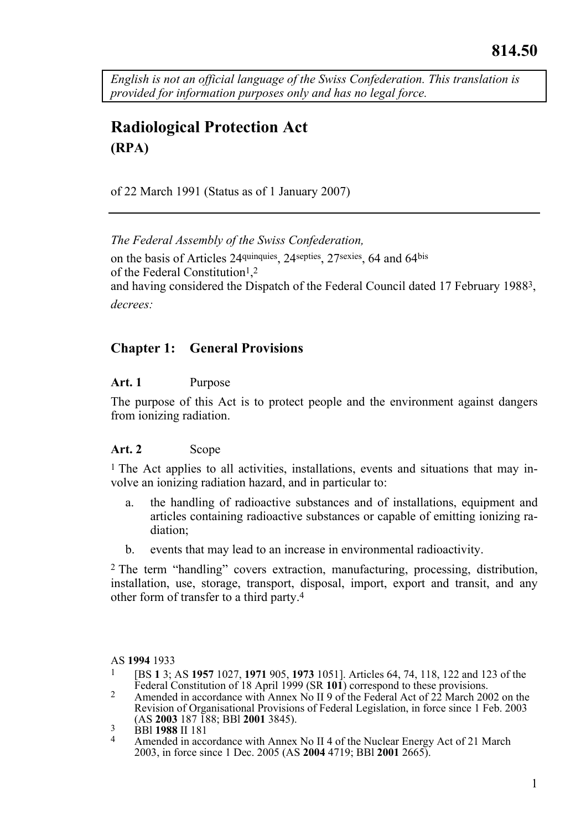*English is not an official language of the Swiss Confederation. This translation is provided for information purposes only and has no legal force.* 

# **Radiological Protection Act (RPA)**

of 22 March 1991 (Status as of 1 January 2007)

*The Federal Assembly of the Swiss Confederation,*  on the basis of Articles 24quinquies, 24septies, 27sexies, 64 and 64bis of the Federal Constitution<sup>1</sup>,<sup>2</sup> and having considered the Dispatch of the Federal Council dated 17 February 19883, *decrees:* 

# **Chapter 1: General Provisions**

### **Art. 1** Purpose

The purpose of this Act is to protect people and the environment against dangers from ionizing radiation.

### Art. 2 Scope

 $1$  The Act applies to all activities, installations, events and situations that may involve an ionizing radiation hazard, and in particular to:

- a. the handling of radioactive substances and of installations, equipment and articles containing radioactive substances or capable of emitting ionizing radiation;
- b. events that may lead to an increase in environmental radioactivity.

2 The term "handling" covers extraction, manufacturing, processing, distribution, installation, use, storage, transport, disposal, import, export and transit, and any other form of transfer to a third party.4

- AS **1994** 1933<br><sup>1</sup> [BS **1** 3; AS **1957** 1027, **1971** 905, **1973** 1051]. Articles 64, 74, 118, 122 and 123 of the Federal Constitution of 18 April 1999 (SR **101**) correspond to these provisions.
- Federal Constitution of 18 April 1999 (SR **101**) correspond to these provisions. 2 Amended in accordance with Annex No II 9 of the Federal Act of 22 March 2002 on the Revision of Organisational Provisions of Federal Legislation, in force since 1 Feb. 2003 (AS 2003 187 188; BBI 2001 3845).
- 
- <sup>3</sup> BBI **1988** II 181 **3**<br><sup>4</sup> Amended in accordance with Annex No II 4 of the Nuclear Energy Act of 21 March 2003, in force since 1 Dec. 2005 (AS **2004** 4719; BBl **2001** 2665).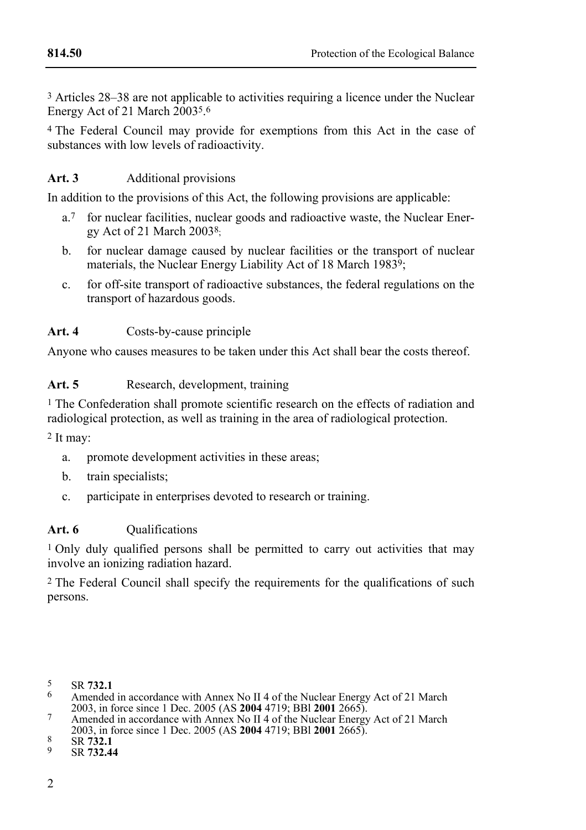3 Articles 28–38 are not applicable to activities requiring a licence under the Nuclear Energy Act of 21 March  $20035.6$ 

4 The Federal Council may provide for exemptions from this Act in the case of substances with low levels of radioactivity.

# Art. 3 **Additional provisions**

In addition to the provisions of this Act, the following provisions are applicable:

- a.7 for nuclear facilities, nuclear goods and radioactive waste, the Nuclear Energy Act of 21 March 20038;
- b. for nuclear damage caused by nuclear facilities or the transport of nuclear materials, the Nuclear Energy Liability Act of 18 March 1983<sup>9</sup>;
- c. for off-site transport of radioactive substances, the federal regulations on the transport of hazardous goods.

### **Art. 4** Costs-by-cause principle

Anyone who causes measures to be taken under this Act shall bear the costs thereof.

# Art. 5 Research, development, training

1 The Confederation shall promote scientific research on the effects of radiation and radiological protection, as well as training in the area of radiological protection.

2 It may:

- a. promote development activities in these areas;
- b. train specialists;
- c. participate in enterprises devoted to research or training.

# Art. 6 **Qualifications**

<sup>1</sup> Only duly qualified persons shall be permitted to carry out activities that may involve an ionizing radiation hazard.

2 The Federal Council shall specify the requirements for the qualifications of such persons.

<sup>5</sup> SR **732.1**<br>
<sup>6</sup> Amended in accordance with Annex No II 4 of the Nuclear Energy Act of 21 March<br>
2003, in force since 1 Dec. 2005 (AS **2004** 4719; BBI **2001** 2665).

<sup>&</sup>lt;sup>7</sup> Amended in accordance with Annex No II 4 of the Nuclear Energy Act of 21 March

<sup>2003,</sup> in force since 1 Dec. 2005 (AS **2004** 4719; BBI **2001** 2665).<br>8 SR **732.1** 9 SR **732.44**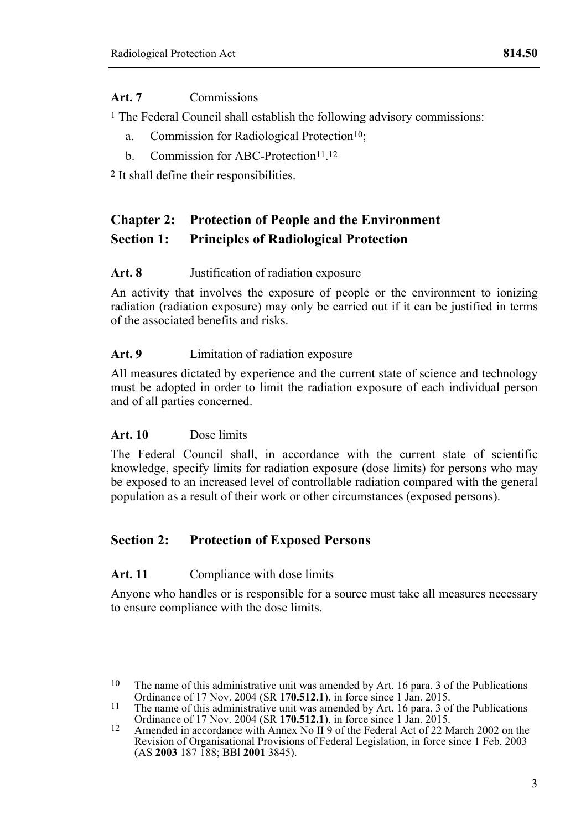### **Art. 7** Commissions

1 The Federal Council shall establish the following advisory commissions:

- a. Commission for Radiological Protection<sup>10</sup>:
- b. Commission for ABC-Protection<sup>11</sup><sup>12</sup>

2 It shall define their responsibilities.

# **Chapter 2: Protection of People and the Environment Section 1: Principles of Radiological Protection**

#### **Art. 8** Justification of radiation exposure

An activity that involves the exposure of people or the environment to ionizing radiation (radiation exposure) may only be carried out if it can be justified in terms of the associated benefits and risks.

#### **Art. 9** Limitation of radiation exposure

All measures dictated by experience and the current state of science and technology must be adopted in order to limit the radiation exposure of each individual person and of all parties concerned.

### **Art. 10** Dose limits

The Federal Council shall, in accordance with the current state of scientific knowledge, specify limits for radiation exposure (dose limits) for persons who may be exposed to an increased level of controllable radiation compared with the general population as a result of their work or other circumstances (exposed persons).

# **Section 2: Protection of Exposed Persons**

### Art. 11 Compliance with dose limits

Anyone who handles or is responsible for a source must take all measures necessary to ensure compliance with the dose limits.

<sup>&</sup>lt;sup>10</sup> The name of this administrative unit was amended by Art. 16 para. 3 of the Publications Ordinance of 17 Nov. 2004 (SR **170.512.1**), in force since 1 Jan. 2015.

<sup>&</sup>lt;sup>11</sup> The name of this administrative unit was amended by Art. 16 para. 3 of the Publications Ordinance of 17 Nov. 2004 (SR **170.512.1**), in force since 1 Jan. 2015.<br><sup>12</sup> Amended in accordance with Annex No II 9 of the Federal Act of 22 March 2002 on the

Revision of Organisational Provisions of Federal Legislation, in force since 1 Feb. 2003 (AS **2003** 187 188; BBl **2001** 3845).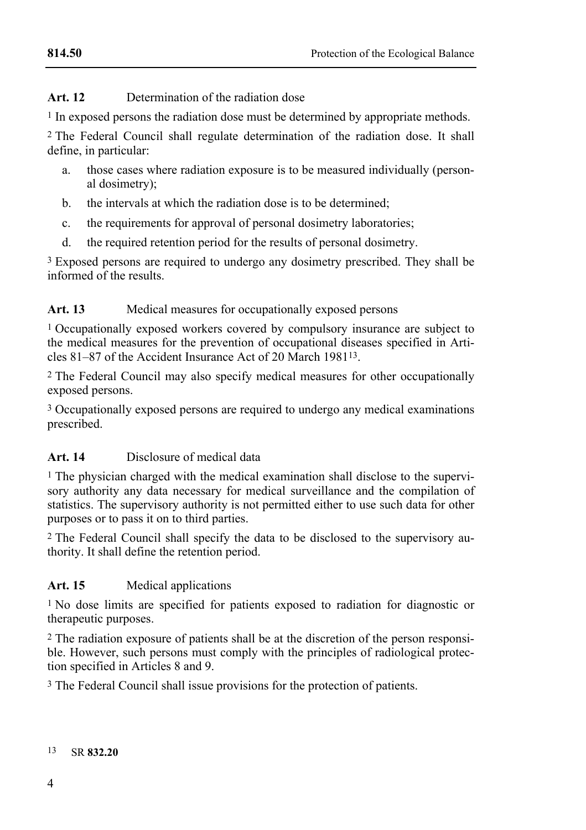# **Art. 12** Determination of the radiation dose

1 In exposed persons the radiation dose must be determined by appropriate methods.

2 The Federal Council shall regulate determination of the radiation dose. It shall define, in particular:

- a. those cases where radiation exposure is to be measured individually (personal dosimetry);
- b. the intervals at which the radiation dose is to be determined;
- c. the requirements for approval of personal dosimetry laboratories;
- d. the required retention period for the results of personal dosimetry.

<sup>3</sup> Exposed persons are required to undergo any dosimetry prescribed. They shall be informed of the results.

# Art. 13 Medical measures for occupationally exposed persons

1 Occupationally exposed workers covered by compulsory insurance are subject to the medical measures for the prevention of occupational diseases specified in Articles 81–87 of the Accident Insurance Act of 20 March 198113.

2 The Federal Council may also specify medical measures for other occupationally exposed persons.

3 Occupationally exposed persons are required to undergo any medical examinations prescribed.

# **Art. 14** Disclosure of medical data

1 The physician charged with the medical examination shall disclose to the supervisory authority any data necessary for medical surveillance and the compilation of statistics. The supervisory authority is not permitted either to use such data for other purposes or to pass it on to third parties.

2 The Federal Council shall specify the data to be disclosed to the supervisory authority. It shall define the retention period.

# **Art. 15** Medical applications

1 No dose limits are specified for patients exposed to radiation for diagnostic or therapeutic purposes.

2 The radiation exposure of patients shall be at the discretion of the person responsible. However, such persons must comply with the principles of radiological protection specified in Articles 8 and 9.

3 The Federal Council shall issue provisions for the protection of patients.

#### 13 SR **832.20**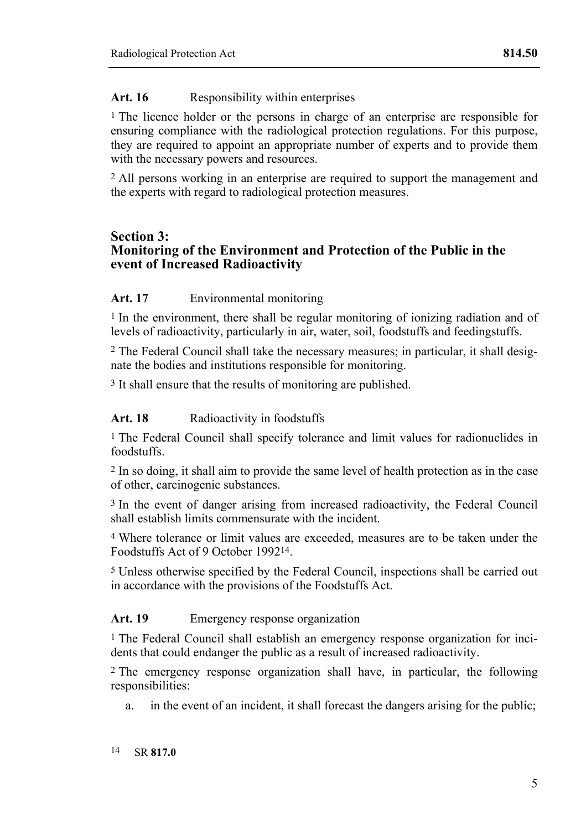# Art. 16 **Responsibility within enterprises**

1 The licence holder or the persons in charge of an enterprise are responsible for ensuring compliance with the radiological protection regulations. For this purpose, they are required to appoint an appropriate number of experts and to provide them with the necessary powers and resources.

2 All persons working in an enterprise are required to support the management and the experts with regard to radiological protection measures.

### **Section 3: Monitoring of the Environment and Protection of the Public in the event of Increased Radioactivity**

### **Art. 17** Environmental monitoring

<sup>1</sup> In the environment, there shall be regular monitoring of ionizing radiation and of levels of radioactivity, particularly in air, water, soil, foodstuffs and feedingstuffs.

2 The Federal Council shall take the necessary measures; in particular, it shall designate the bodies and institutions responsible for monitoring.

3 It shall ensure that the results of monitoring are published.

### Art. 18 **Radioactivity in foodstuffs**

1 The Federal Council shall specify tolerance and limit values for radionuclides in foodstuffs.

2 In so doing, it shall aim to provide the same level of health protection as in the case of other, carcinogenic substances.

3 In the event of danger arising from increased radioactivity, the Federal Council shall establish limits commensurate with the incident.

4 Where tolerance or limit values are exceeded, measures are to be taken under the Foodstuffs Act of 9 October 199214.

5 Unless otherwise specified by the Federal Council, inspections shall be carried out in accordance with the provisions of the Foodstuffs Act.

### **Art. 19** Emergency response organization

1 The Federal Council shall establish an emergency response organization for incidents that could endanger the public as a result of increased radioactivity.

2 The emergency response organization shall have, in particular, the following responsibilities:

a. in the event of an incident, it shall forecast the dangers arising for the public;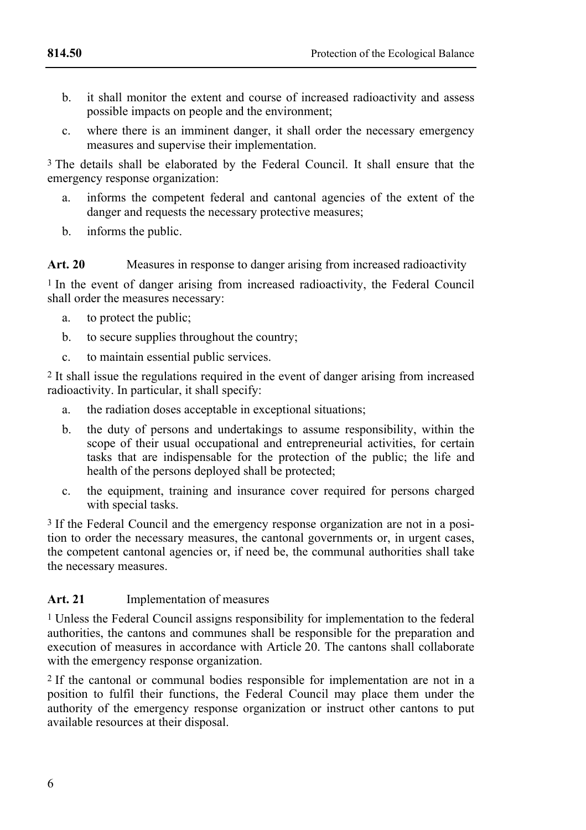- b. it shall monitor the extent and course of increased radioactivity and assess possible impacts on people and the environment;
- c. where there is an imminent danger, it shall order the necessary emergency measures and supervise their implementation.

3 The details shall be elaborated by the Federal Council. It shall ensure that the emergency response organization:

- a. informs the competent federal and cantonal agencies of the extent of the danger and requests the necessary protective measures;
- b. informs the public.

### **Art. 20** Measures in response to danger arising from increased radioactivity

<sup>1</sup> In the event of danger arising from increased radioactivity, the Federal Council shall order the measures necessary:

- a. to protect the public;
- b. to secure supplies throughout the country;
- c. to maintain essential public services.

2 It shall issue the regulations required in the event of danger arising from increased radioactivity. In particular, it shall specify:

- a. the radiation doses acceptable in exceptional situations;
- b. the duty of persons and undertakings to assume responsibility, within the scope of their usual occupational and entrepreneurial activities, for certain tasks that are indispensable for the protection of the public; the life and health of the persons deployed shall be protected;
- c. the equipment, training and insurance cover required for persons charged with special tasks.

3 If the Federal Council and the emergency response organization are not in a position to order the necessary measures, the cantonal governments or, in urgent cases, the competent cantonal agencies or, if need be, the communal authorities shall take the necessary measures.

### **Art. 21** Implementation of measures

1 Unless the Federal Council assigns responsibility for implementation to the federal authorities, the cantons and communes shall be responsible for the preparation and execution of measures in accordance with Article 20. The cantons shall collaborate with the emergency response organization.

2 If the cantonal or communal bodies responsible for implementation are not in a position to fulfil their functions, the Federal Council may place them under the authority of the emergency response organization or instruct other cantons to put available resources at their disposal.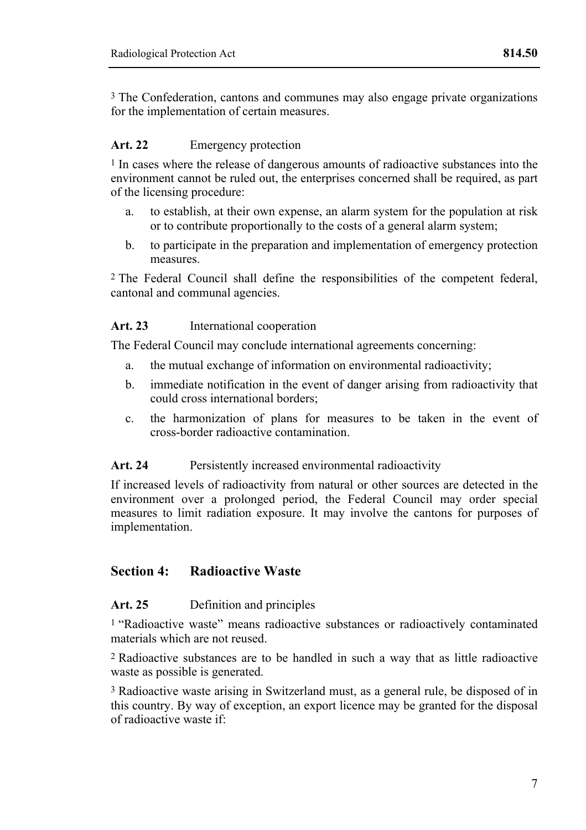3 The Confederation, cantons and communes may also engage private organizations for the implementation of certain measures.

### Art. 22 Emergency protection

1 In cases where the release of dangerous amounts of radioactive substances into the environment cannot be ruled out, the enterprises concerned shall be required, as part of the licensing procedure:

- a. to establish, at their own expense, an alarm system for the population at risk or to contribute proportionally to the costs of a general alarm system;
- b. to participate in the preparation and implementation of emergency protection measures.

2 The Federal Council shall define the responsibilities of the competent federal, cantonal and communal agencies.

### **Art. 23** International cooperation

The Federal Council may conclude international agreements concerning:

- a. the mutual exchange of information on environmental radioactivity;
- b. immediate notification in the event of danger arising from radioactivity that could cross international borders;
- c. the harmonization of plans for measures to be taken in the event of cross-border radioactive contamination.

### Art. 24 **Persistently increased environmental radioactivity**

If increased levels of radioactivity from natural or other sources are detected in the environment over a prolonged period, the Federal Council may order special measures to limit radiation exposure. It may involve the cantons for purposes of implementation.

# **Section 4: Radioactive Waste**

### **Art. 25** Definition and principles

1 "Radioactive waste" means radioactive substances or radioactively contaminated materials which are not reused.

2 Radioactive substances are to be handled in such a way that as little radioactive waste as possible is generated.

3 Radioactive waste arising in Switzerland must, as a general rule, be disposed of in this country. By way of exception, an export licence may be granted for the disposal of radioactive waste if: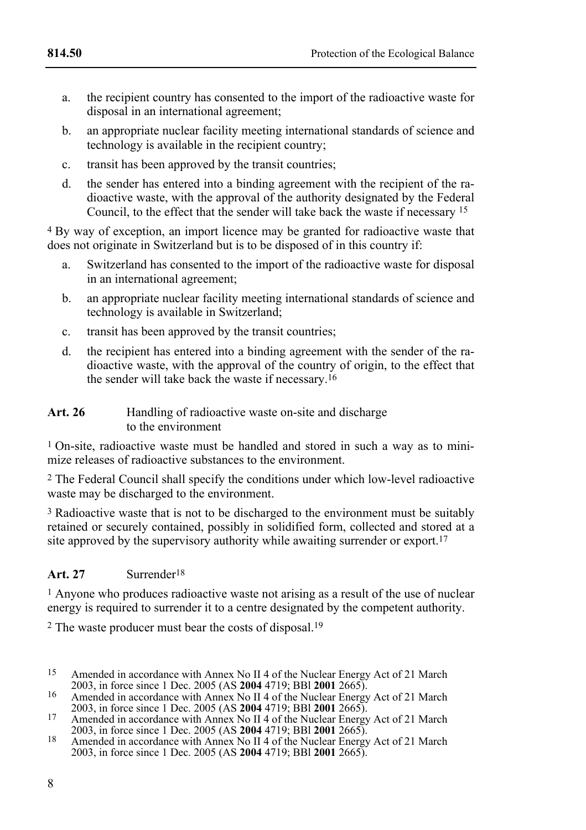- 
- a. the recipient country has consented to the import of the radioactive waste for disposal in an international agreement;
- b. an appropriate nuclear facility meeting international standards of science and technology is available in the recipient country;
- c. transit has been approved by the transit countries;
- d. the sender has entered into a binding agreement with the recipient of the radioactive waste, with the approval of the authority designated by the Federal Council, to the effect that the sender will take back the waste if necessary 15

4 By way of exception, an import licence may be granted for radioactive waste that does not originate in Switzerland but is to be disposed of in this country if:

- a. Switzerland has consented to the import of the radioactive waste for disposal in an international agreement;
- b. an appropriate nuclear facility meeting international standards of science and technology is available in Switzerland;
- c. transit has been approved by the transit countries;
- d. the recipient has entered into a binding agreement with the sender of the radioactive waste, with the approval of the country of origin, to the effect that the sender will take back the waste if necessary.16

#### Art. 26 **Handling of radioactive waste on-site and discharge** to the environment

1 On-site, radioactive waste must be handled and stored in such a way as to minimize releases of radioactive substances to the environment.

2 The Federal Council shall specify the conditions under which low-level radioactive waste may be discharged to the environment.

3 Radioactive waste that is not to be discharged to the environment must be suitably retained or securely contained, possibly in solidified form, collected and stored at a site approved by the supervisory authority while awaiting surrender or export.<sup>17</sup>

# **Art. 27** Surrender18

1 Anyone who produces radioactive waste not arising as a result of the use of nuclear energy is required to surrender it to a centre designated by the competent authority.

2 The waste producer must bear the costs of disposal.19

2003, in force since 1 Dec. 2005 (AS **2004** 4719; BBI **2001** 2665).

<sup>18</sup> Amended in accordance with Annex No II 4 of the Nuclear Energy Act of 21 March 2003, in force since 1 Dec. 2005 (AS **2004** 4719; BBl **2001** 2665).

<sup>15</sup> Amended in accordance with Annex No II 4 of the Nuclear Energy Act of 21 March 2003, in force since 1 Dec. 2005 (AS 2004 4719; BBI 2001 2665).

<sup>&</sup>lt;sup>17</sup> Amended in accordance with Annex No II 4 of the Nuclear Energy Act of 21 March 2003, in force since 1 Dec. 2005 (AS **2004** 4719; BBI **2001** 2665).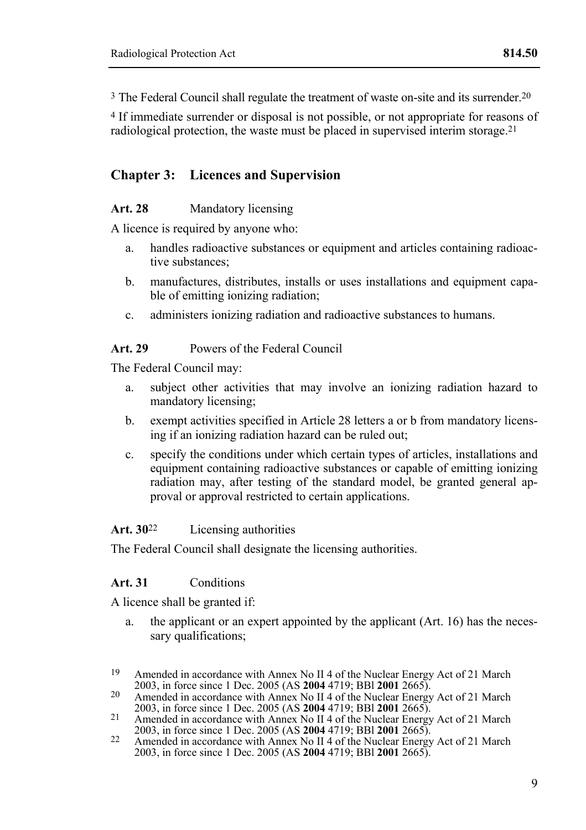3 The Federal Council shall regulate the treatment of waste on-site and its surrender.20

4 If immediate surrender or disposal is not possible, or not appropriate for reasons of radiological protection, the waste must be placed in supervised interim storage.21

# **Chapter 3: Licences and Supervision**

#### Art. 28 **Mandatory licensing**

A licence is required by anyone who:

- a. handles radioactive substances or equipment and articles containing radioactive substances;
- b. manufactures, distributes, installs or uses installations and equipment capable of emitting ionizing radiation;
- c. administers ionizing radiation and radioactive substances to humans.

#### **Art. 29** Powers of the Federal Council

The Federal Council may:

- a. subject other activities that may involve an ionizing radiation hazard to mandatory licensing;
- b. exempt activities specified in Article 28 letters a or b from mandatory licensing if an ionizing radiation hazard can be ruled out;
- c. specify the conditions under which certain types of articles, installations and equipment containing radioactive substances or capable of emitting ionizing radiation may, after testing of the standard model, be granted general approval or approval restricted to certain applications.

#### **Art. 30**22 Licensing authorities

The Federal Council shall designate the licensing authorities.

### **Art. 31** Conditions

A licence shall be granted if:

a. the applicant or an expert appointed by the applicant (Art. 16) has the necessary qualifications;

- 2003, in force since 1 Dec. 2005 (AS **2004** 4719; BBI **2001** 2665).
- 21 Amended in accordance with Annex No II 4 of the Nuclear Energy Act of 21 March 2003, in force since 1 Dec. 2005 (AS **2004** 4719; BBI **2001** 2665).
- 2003, in force since 1 Dec. 2005 (AS **2004** 4719; BBl **2001** 2665). 22 Amended in accordance with Annex No II 4 of the Nuclear Energy Act of 21 March 2003, in force since 1 Dec. 2005 (AS **2004** 4719; BBl **2001** 2665).

<sup>19</sup> Amended in accordance with Annex No II 4 of the Nuclear Energy Act of 21 March 2003, in force since 1 Dec. 2005 (AS 2004 4719; BBI 2001 2665).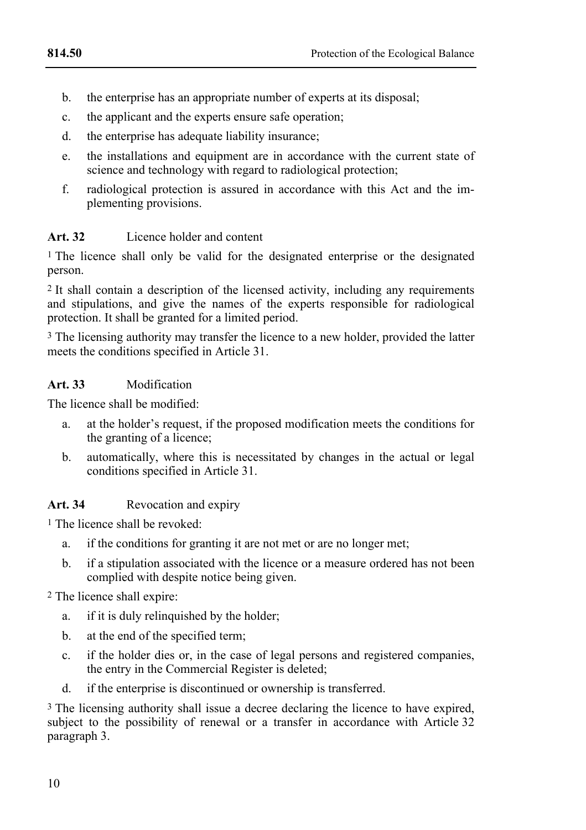- b. the enterprise has an appropriate number of experts at its disposal;
- c. the applicant and the experts ensure safe operation;
- d. the enterprise has adequate liability insurance;
- e. the installations and equipment are in accordance with the current state of science and technology with regard to radiological protection:
- f. radiological protection is assured in accordance with this Act and the implementing provisions.

# **Art. 32** Licence holder and content

1 The licence shall only be valid for the designated enterprise or the designated person.

2 It shall contain a description of the licensed activity, including any requirements and stipulations, and give the names of the experts responsible for radiological protection. It shall be granted for a limited period.

3 The licensing authority may transfer the licence to a new holder, provided the latter meets the conditions specified in Article 31.

# **Art. 33** Modification

The licence shall be modified:

- a. at the holder's request, if the proposed modification meets the conditions for the granting of a licence;
- b. automatically, where this is necessitated by changes in the actual or legal conditions specified in Article 31.

# Art. 34 **Revocation and expiry**

1 The licence shall be revoked:

- a. if the conditions for granting it are not met or are no longer met;
- b. if a stipulation associated with the licence or a measure ordered has not been complied with despite notice being given.

2 The licence shall expire:

- a. if it is duly relinquished by the holder;
- b. at the end of the specified term;
- c. if the holder dies or, in the case of legal persons and registered companies, the entry in the Commercial Register is deleted;
- d. if the enterprise is discontinued or ownership is transferred.

<sup>3</sup> The licensing authority shall issue a decree declaring the licence to have expired, subject to the possibility of renewal or a transfer in accordance with Article 32 paragraph 3.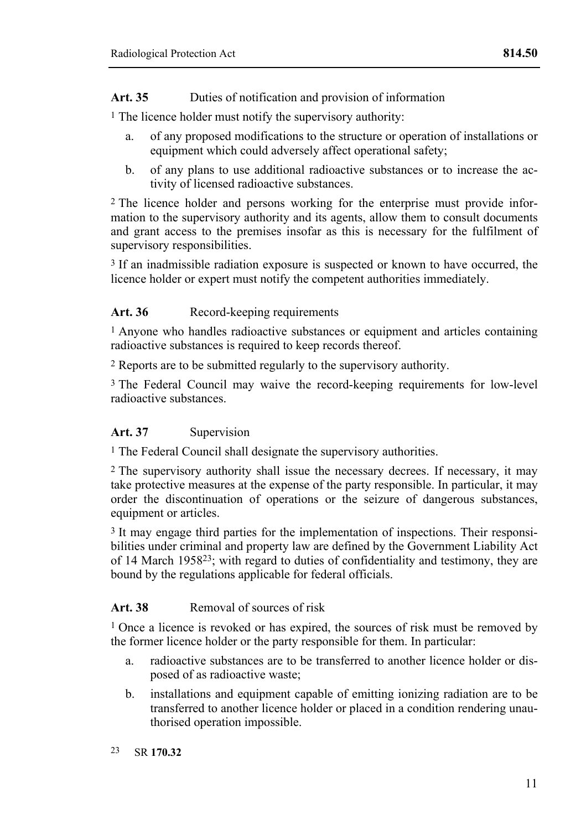# Art. 35 **Duties of notification and provision of information**

1 The licence holder must notify the supervisory authority:

- a. of any proposed modifications to the structure or operation of installations or equipment which could adversely affect operational safety;
- b. of any plans to use additional radioactive substances or to increase the activity of licensed radioactive substances.

2 The licence holder and persons working for the enterprise must provide information to the supervisory authority and its agents, allow them to consult documents and grant access to the premises insofar as this is necessary for the fulfilment of supervisory responsibilities.

3 If an inadmissible radiation exposure is suspected or known to have occurred, the licence holder or expert must notify the competent authorities immediately.

# Art. 36 Record-keeping requirements

1 Anyone who handles radioactive substances or equipment and articles containing radioactive substances is required to keep records thereof.

2 Reports are to be submitted regularly to the supervisory authority.

3 The Federal Council may waive the record-keeping requirements for low-level radioactive substances.

# Art. 37 Supervision

1 The Federal Council shall designate the supervisory authorities.

2 The supervisory authority shall issue the necessary decrees. If necessary, it may take protective measures at the expense of the party responsible. In particular, it may order the discontinuation of operations or the seizure of dangerous substances, equipment or articles.

<sup>3</sup> It may engage third parties for the implementation of inspections. Their responsibilities under criminal and property law are defined by the Government Liability Act of 14 March 195823; with regard to duties of confidentiality and testimony, they are bound by the regulations applicable for federal officials.

# **Art. 38** Removal of sources of risk

1 Once a licence is revoked or has expired, the sources of risk must be removed by the former licence holder or the party responsible for them. In particular:

- a. radioactive substances are to be transferred to another licence holder or disposed of as radioactive waste;
- b. installations and equipment capable of emitting ionizing radiation are to be transferred to another licence holder or placed in a condition rendering unauthorised operation impossible.
- $23$ 23 SR **170.32**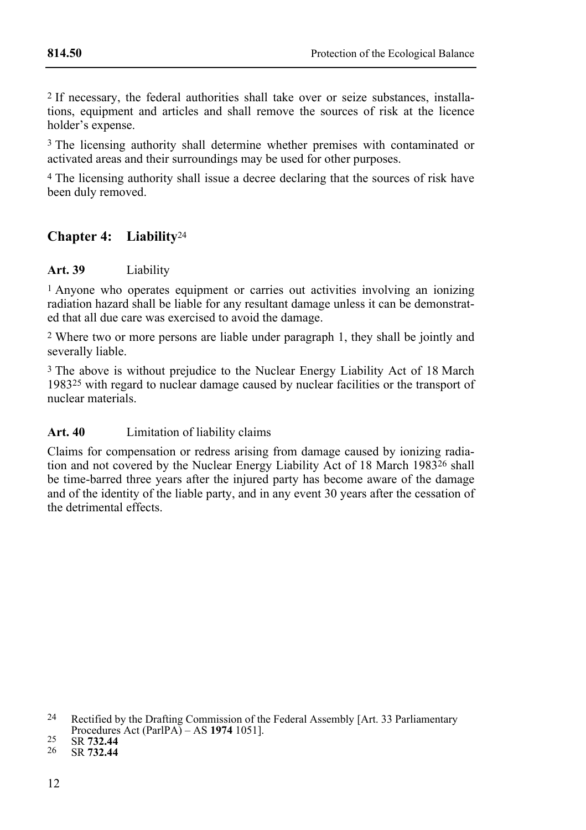2 If necessary, the federal authorities shall take over or seize substances, installations, equipment and articles and shall remove the sources of risk at the licence holder's expense.

<sup>3</sup> The licensing authority shall determine whether premises with contaminated or activated areas and their surroundings may be used for other purposes.

4 The licensing authority shall issue a decree declaring that the sources of risk have been duly removed.

# **Chapter 4: Liability**<sup>24</sup>

### **Art. 39** Liability

1 Anyone who operates equipment or carries out activities involving an ionizing radiation hazard shall be liable for any resultant damage unless it can be demonstrated that all due care was exercised to avoid the damage.

2 Where two or more persons are liable under paragraph 1, they shall be jointly and severally liable.

3 The above is without prejudice to the Nuclear Energy Liability Act of 18 March 198325 with regard to nuclear damage caused by nuclear facilities or the transport of nuclear materials.

### **Art. 40** Limitation of liability claims

Claims for compensation or redress arising from damage caused by ionizing radiation and not covered by the Nuclear Energy Liability Act of 18 March 1983<sup>26</sup> shall be time-barred three years after the injured party has become aware of the damage and of the identity of the liable party, and in any event 30 years after the cessation of the detrimental effects.

<sup>&</sup>lt;sup>24</sup> Rectified by the Drafting Commission of the Federal Assembly [Art. 33 Parliamentary Procedures Act (ParlPA) – AS **1974** 1051]. 25 SR **732.44** 26 SR **732.44**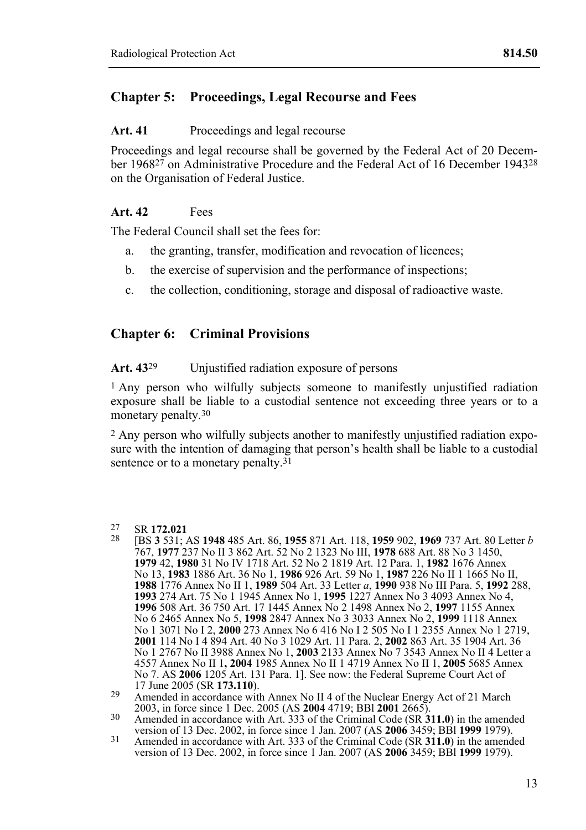# **Chapter 5: Proceedings, Legal Recourse and Fees**

#### Art. 41 Proceedings and legal recourse

Proceedings and legal recourse shall be governed by the Federal Act of 20 December 196827 on Administrative Procedure and the Federal Act of 16 December 194328 on the Organisation of Federal Justice.

### **Art. 42** Fees

The Federal Council shall set the fees for:

- a. the granting, transfer, modification and revocation of licences;
- b. the exercise of supervision and the performance of inspections;
- c. the collection, conditioning, storage and disposal of radioactive waste.

# **Chapter 6: Criminal Provisions**

Art. 43<sup>29</sup> Unjustified radiation exposure of persons

1 Any person who wilfully subjects someone to manifestly unjustified radiation exposure shall be liable to a custodial sentence not exceeding three years or to a monetary penalty.<sup>30</sup>

2 Any person who wilfully subjects another to manifestly unjustified radiation exposure with the intention of damaging that person's health shall be liable to a custodial sentence or to a monetary penalty.<sup>31</sup>

27 SR **172.021** 28 [BS **3** 531; AS **1948** 485 Art. 86, **1955** 871 Art. 118, **1959** 902, **1969** 737 Art. 80 Letter *<sup>b</sup>* 767, **1977** 237 No II 3 862 Art. 52 No 2 1323 No III, **1978** 688 Art. 88 No 3 1450, **1979** 42, **1980** 31 No IV 1718 Art. 52 No 2 1819 Art. 12 Para. 1, **1982** 1676 Annex No 13, **1983** 1886 Art. 36 No 1, **1986** 926 Art. 59 No 1, **1987** 226 No II 1 1665 No II, **1988** 1776 Annex No II 1, **1989** 504 Art. 33 Letter *a*, **1990** 938 No III Para. 5, **1992** 288, **1993** 274 Art. 75 No 1 1945 Annex No 1, **1995** 1227 Annex No 3 4093 Annex No 4, **1996** 508 Art. 36 750 Art. 17 1445 Annex No 2 1498 Annex No 2, **1997** 1155 Annex No 6 2465 Annex No 5, **1998** 2847 Annex No 3 3033 Annex No 2, **1999** 1118 Annex No 1 3071 No I 2, **2000** 273 Annex No 6 416 No I 2 505 No I 1 2355 Annex No 1 2719, **2001** 114 No I 4 894 Art. 40 No 3 1029 Art. 11 Para. 2, **2002** 863 Art. 35 1904 Art. 36 No 1 2767 No II 3988 Annex No 1, **2003** 2133 Annex No 7 3543 Annex No II 4 Letter a 4557 Annex No II 1**, 2004** 1985 Annex No II 1 4719 Annex No II 1, **2005** 5685 Annex No 7. AS **2006** 1205 Art. 131 Para. 1]. See now: the Federal Supreme Court Act of

 $27$ 

<sup>29</sup> Amended in accordance with Annex No II 4 of the Nuclear Energy Act of 21 March 2003, in force since 1 Dec. 2005 (AS 2004 4719; BBI 2001 2665).

<sup>&</sup>lt;sup>20</sup> Amended in accordance with Art. 333 of the Criminal Code (SR **311.0**) in the amended version of 13 Dec. 2002, in force since 1 Jan. 2007 (AS **2006** 3459; BBI **1999** 1979).

<sup>31</sup> Amended in accordance with Art. 333 of the Criminal Code (SR **311.0**) in the amended version of 13 Dec. 2002, in force since 1 Jan. 2007 (AS **2006** 3459; BBl **1999** 1979).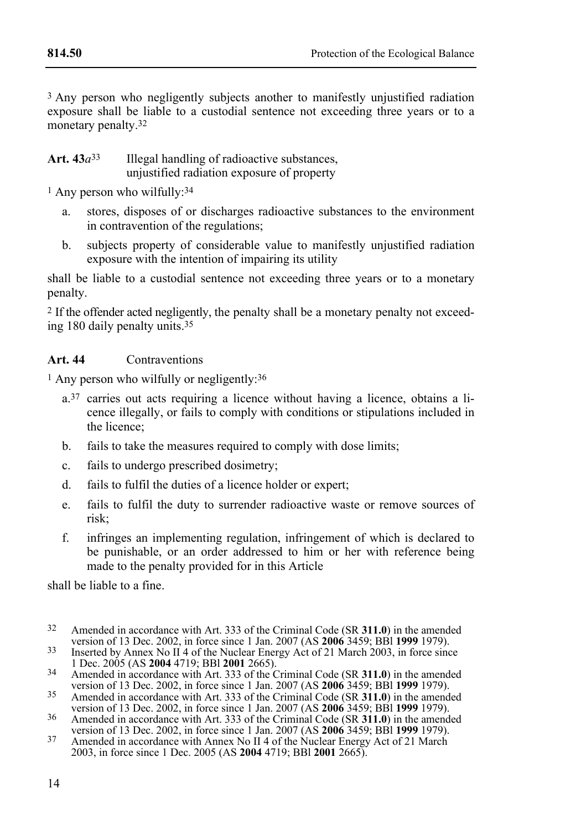<sup>3</sup> Any person who negligently subjects another to manifestly unjustified radiation exposure shall be liable to a custodial sentence not exceeding three years or to a monetary penalty.<sup>32</sup>

Art.  $43a^{33}$  Illegal handling of radioactive substances, unjustified radiation exposure of property

<sup>1</sup> Any person who wilfully:<sup>34</sup>

- a. stores, disposes of or discharges radioactive substances to the environment in contravention of the regulations;
- b. subjects property of considerable value to manifestly unjustified radiation exposure with the intention of impairing its utility

shall be liable to a custodial sentence not exceeding three years or to a monetary penalty.

2 If the offender acted negligently, the penalty shall be a monetary penalty not exceeding 180 daily penalty units.35

### **Art. 44** Contraventions

1 Any person who wilfully or negligently:36

- a.37 carries out acts requiring a licence without having a licence, obtains a licence illegally, or fails to comply with conditions or stipulations included in the licence;
- b. fails to take the measures required to comply with dose limits;
- c. fails to undergo prescribed dosimetry;
- d. fails to fulfil the duties of a licence holder or expert;
- e. fails to fulfil the duty to surrender radioactive waste or remove sources of risk;
- f. infringes an implementing regulation, infringement of which is declared to be punishable, or an order addressed to him or her with reference being made to the penalty provided for in this Article

shall be liable to a fine.

- $32$ Amended in accordance with Art. 333 of the Criminal Code (SR **311.0**) in the amended version of 13 Dec. 2002. in force since 1 Jan. 2007 (AS **2006** 3459: BBI **1999** 1979).
- version of 13 Dec. 2005 (AS **2004** 4719; BBl **2001** 2665).<br>1 Dec. 2005 (AS **2004** 4719; BBl **2001** 2665).
- <sup>34</sup> Amended in accordance with Art. 333 of the Criminal Code (SR **311.0**) in the amended version of 13 Dec. 2002, in force since 1 Jan. 2007 (AS **2006** 3459; BBl **1999** 1979). 35 Amended in accordance with Art. 333 of the Criminal Code (SR **311.0**) in the amended
- version of 13 Dec. 2002, in force since 1 Jan. 2007 (AS **2006** 3459; BBl **1999** 1979). 36 Amended in accordance with Art. 333 of the Criminal Code (SR **311.0**) in the amended
- version of 13 Dec. 2002, in force since 1 Jan. 2007 (AS **2006** 3459; BBl **1999** 1979). 37 Amended in accordance with Annex No II 4 of the Nuclear Energy Act of 21 March
- 2003, in force since 1 Dec. 2005 (AS **2004** 4719; BBl **2001** 2665).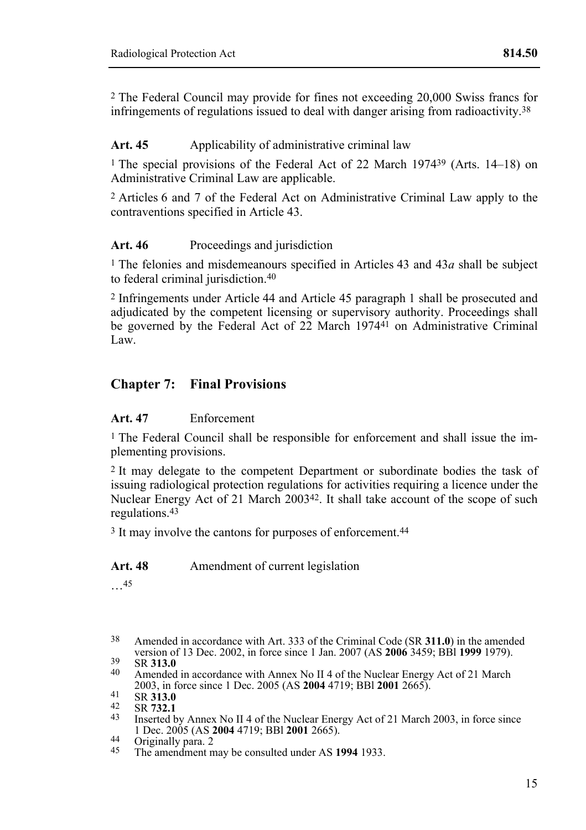2 The Federal Council may provide for fines not exceeding 20,000 Swiss francs for infringements of regulations issued to deal with danger arising from radioactivity.38

# Art. 45 • **Applicability of administrative criminal law**

1 The special provisions of the Federal Act of 22 March 197439 (Arts. 14–18) on Administrative Criminal Law are applicable.

2 Articles 6 and 7 of the Federal Act on Administrative Criminal Law apply to the contraventions specified in Article 43.

### Art. 46 Proceedings and jurisdiction

1 The felonies and misdemeanours specified in Articles 43 and 43*a* shall be subject to federal criminal jurisdiction.40

2 Infringements under Article 44 and Article 45 paragraph 1 shall be prosecuted and adjudicated by the competent licensing or supervisory authority. Proceedings shall be governed by the Federal Act of  $2\overline{2}$  March 1974<sup>41</sup> on Administrative Criminal Law.

# **Chapter 7: Final Provisions**

### **Art. 47** Enforcement

1 The Federal Council shall be responsible for enforcement and shall issue the implementing provisions.

2 It may delegate to the competent Department or subordinate bodies the task of issuing radiological protection regulations for activities requiring a licence under the Nuclear Energy Act of 21 March 200342. It shall take account of the scope of such regulations.43

<sup>3</sup> It may involve the cantons for purposes of enforcement.<sup>44</sup>

### Art. 48 Amendment of current legislation

…45

38 38 Amended in accordance with Art. 333 of the Criminal Code (SR **311.0**) in the amended

- 2003, 2003, 2004 4719; BBL **2001** 2665). 42 SR **313.0**<br>42 SR **732.1** Inserted by Annex No II 4 of the Nuclear Energy Act of 21 March 2003, in force since<br>1 Dec. 2005 (AS **2004** 4719; BBI **2001** 2665).
- 
- 1 Dec. 2005 (AS **2004** 4719; BBl **2001** 2665). 44 Originally para. 2 45 The amendment may be consulted under AS **1994** 1933.

version of 13 Dec. 2002, in force since 1 Jan. 2007 (AS **2006** 3459; BBI **1999** 1979).<br>
39 SR **313.0**<br>
40 Amended in accordance with Annex No II 4 of the Nuclear Energy Act of 21 March<br>
2003, in force since 1 Dec. 2005 (AS